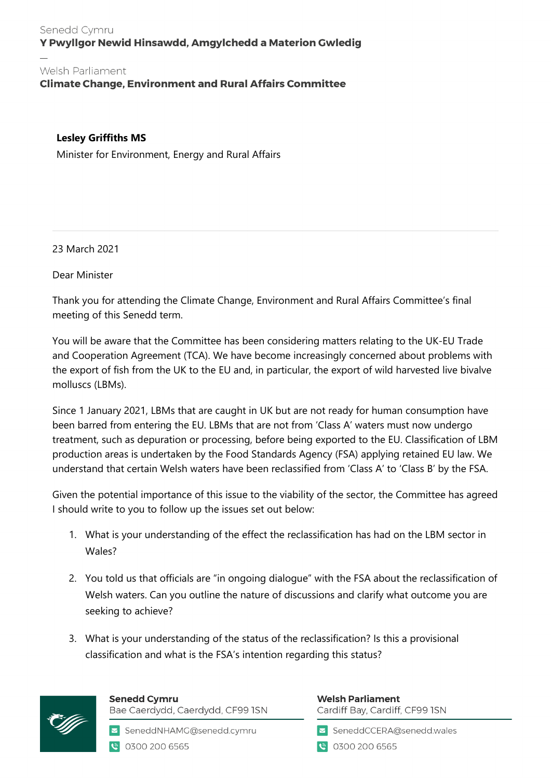## Senedd Cymru Y Pwyllgor Newid Hinsawdd, Amgylchedd a Materion Gwledig

## Welsh Parliament

**Climate Change, Environment and Rural Affairs Committee** 

## **Lesley Griffiths MS**

Minister for Environment, Energy and Rural Affairs

23 March 2021

Dear Minister

Thank you for attending the Climate Change, Environment and Rural Affairs Committee's final meeting of this Senedd term.

You will be aware that the Committee has been considering matters relating to the UK-EU Trade and Cooperation Agreement (TCA). We have become increasingly concerned about problems with the export of fish from the UK to the EU and, in particular, the export of wild harvested live bivalve molluscs (LBMs).

Since 1 January 2021, LBMs that are caught in UK but are not ready for human consumption have been barred from entering the EU. LBMs that are not from 'Class A' waters must now undergo treatment, such as depuration or processing, before being exported to the EU. Classification of LBM production areas is undertaken by the Food Standards Agency (FSA) applying retained EU law. We understand that certain Welsh waters have been reclassified from 'Class A' to 'Class B' by the FSA.

Given the potential importance of this issue to the viability of the sector, the Committee has agreed I should write to you to follow up the issues set out below:

- 1. What is your understanding of the effect the reclassification has had on the LBM sector in Wales?
- 2. You told us that officials are "in ongoing dialogue" with the FSA about the reclassification of Welsh waters. Can you outline the nature of discussions and clarify what outcome you are seeking to achieve?
- 3. What is your understanding of the status of the reclassification? Is this a provisional classification and what is the FSA's intention regarding this status?



**Senedd Cymru** Bae Caerdydd, Caerdydd, CF99 ISN

SeneddNHAMG@senedd.cymru C 0300 200 6565

**Welsh Parliament** Cardiff Bay, Cardiff, CF99 ISN

SeneddCCERA@senedd.wales

● 0300 200 6565